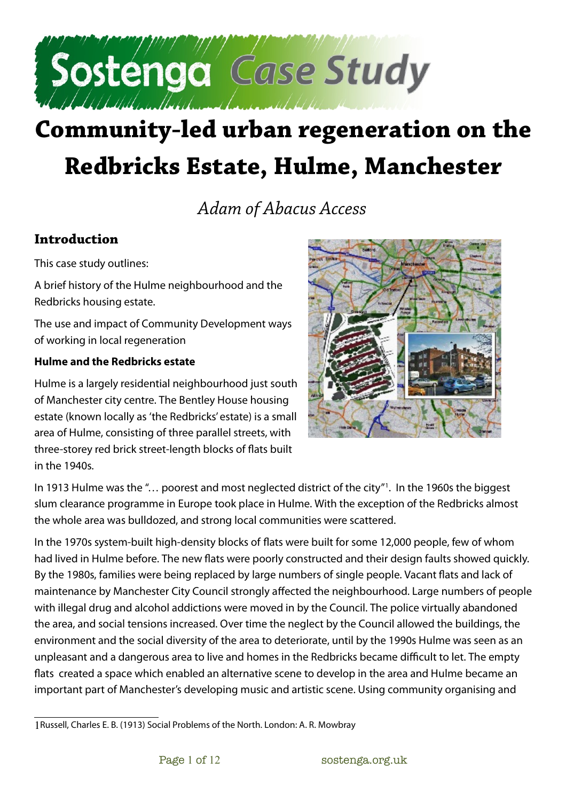

# **Community-led urban regeneration on the Redbricks Estate, Hulme, Manchester**

*Adam of Abacus Access*

## **Introduction**

This case study outlines:

A brief history of the Hulme neighbourhood and the Redbricks housing estate.

The use and impact of Community Development ways of working in local regeneration

#### **Hulme and the Redbricks estate**

Hulme is a largely residential neighbourhood just south of Manchester city centre. The Bentley House housing estate (known locally as 'the Redbricks' estate) is a small area of Hulme, consisting of three parallel streets, with three-storey red brick street-length blocks of flats built  $in$  the 1940s.



In 1913 Hulme was the "… poorest and most neglected district of the city"[1](#page-0-0) . In the 1960s the biggest slum clearance programme in Europe took place in Hulme. With the exception of the Redbricks almost the whole area was bulldozed, and strong local communities were scattered.

In the 1970s system-built high-density blocks of flats were built for some 12,000 people, few of whom had lived in Hulme before. The new flats were poorly constructed and their design faults showed quickly. By the 1980s, families were being replaced by large numbers of single people. Vacant flats and lack of maintenance by Manchester City Council strongly affected the neighbourhood. Large numbers of people with illegal drug and alcohol addictions were moved in by the Council. The police virtually abandoned the area, and social tensions increased. Over time the neglect by the Council allowed the buildings, the environment and the social diversity of the area to deteriorate, until by the 1990s Hulme was seen as an unpleasant and a dangerous area to live and homes in the Redbricks became difficult to let. The empty flats created a space which enabled an alternative scene to develop in the area and Hulme became an important part of Manchester's developing music and artistic scene. Using community organising and

<span id="page-0-0"></span><sup>1</sup>Russell, Charles E. B. (1913) Social Problems of the North. London: A. R. Mowbray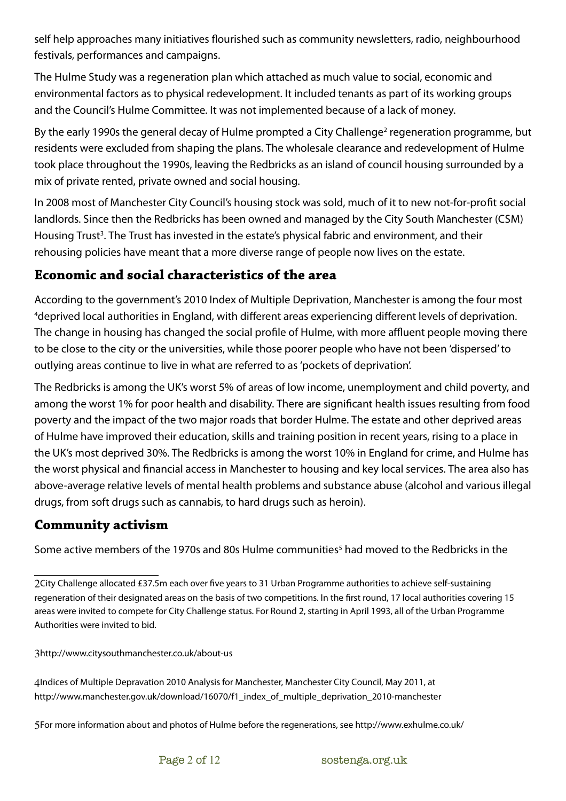self help approaches many initiatives flourished such as community newsletters, radio, neighbourhood festivals, performances and campaigns.

The Hulme Study was a regeneration plan which attached as much value to social, economic and environmental factors as to physical redevelopment. It included tenants as part of its working groups and the Council's Hulme Committee. It was not implemented because of a lack of money.

By the early 1990s the general decay of Hulme prompted a City Challenge<sup>[2](#page-1-0)</sup> regeneration programme, but residents were excluded from shaping the plans. The wholesale clearance and redevelopment of Hulme took place throughout the 1990s, leaving the Redbricks as an island of council housing surrounded by a mix of private rented, private owned and social housing.

In 2008 most of Manchester City Council's housing stock was sold, much of it to new not-for-profit social landlords. Since then the Redbricks has been owned and managed by the City South Manchester (CSM) Housing Trust<sup>[3](#page-1-1)</sup>. The Trust has invested in the estate's physical fabric and environment, and their rehousing policies have meant that a more diverse range of people now lives on the estate.

## **Economic and social characteristics of the area**

According to the government's 2010 Index of Multiple Deprivation, Manchester is among the four most [4](#page-1-2)deprived local authorities in England, with different areas experiencing different levels of deprivation. The change in housing has changed the social profile of Hulme, with more affluent people moving there to be close to the city or the universities, while those poorer people who have not been 'dispersed' to outlying areas continue to live in what are referred to as 'pockets of deprivation'.

The Redbricks is among the UK's worst 5% of areas of low income, unemployment and child poverty, and among the worst 1% for poor health and disability. There are significant health issues resulting from food poverty and the impact of the two major roads that border Hulme. The estate and other deprived areas of Hulme have improved their education, skills and training position in recent years, rising to a place in the UK's most deprived 30%. The Redbricks is among the worst 10% in England for crime, and Hulme has the worst physical and financial access in Manchester to housing and key local services. The area also has above-average relative levels of mental health problems and substance abuse (alcohol and various illegal drugs, from soft drugs such as cannabis, to hard drugs such as heroin).

## **Community activism**

Some active members of the 1970s and 80s Hulme communities $^{\mathrm{5}}$  $^{\mathrm{5}}$  $^{\mathrm{5}}$  had moved to the Redbricks in the

<span id="page-1-0"></span><sup>2</sup>City Challenge allocated £37.5m each over five years to 31 Urban Programme authorities to achieve self-sustaining regeneration of their designated areas on the basis of two competitions. In the first round, 17 local authorities covering 15 areas were invited to compete for City Challenge status. For Round 2, starting in April 1993, all of the Urban Programme Authorities were invited to bid.

<span id="page-1-1"></span><sup>3</sup>http://www.citysouthmanchester.co.uk/about-us

<span id="page-1-2"></span><sup>4</sup>Indices of Multiple Depravation 2010 Analysis for Manchester, Manchester City Council, May 2011, at http://www.manchester.gov.uk/download/16070/f1\_index\_of\_multiple\_deprivation\_2010-manchester

<span id="page-1-3"></span><sup>5</sup>For more information about and photos of Hulme before the regenerations, see http://www.exhulme.co.uk/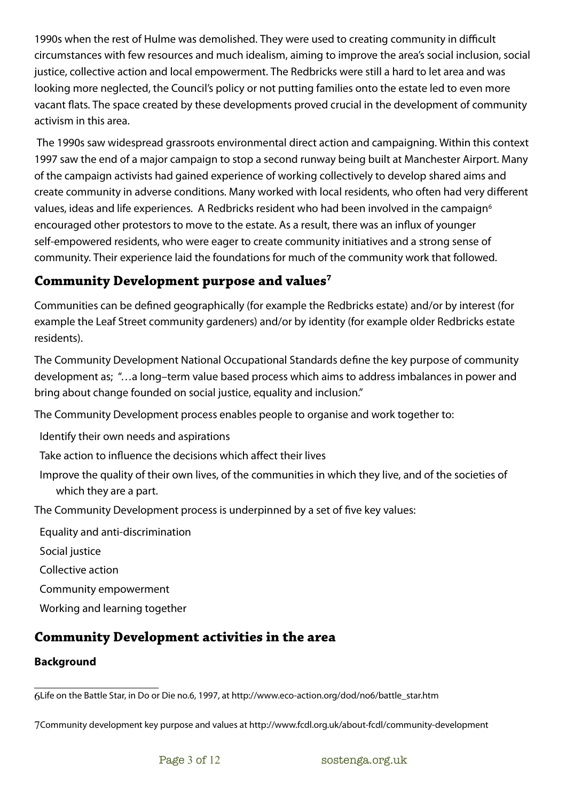1990s when the rest of Hulme was demolished. They were used to creating community in difficult circumstances with few resources and much idealism, aiming to improve the area's social inclusion, social justice, collective action and local empowerment. The Redbricks were still a hard to let area and was looking more neglected, the Council's policy or not putting families onto the estate led to even more vacant flats. The space created by these developments proved crucial in the development of community activism in this area.

 The 1990s saw widespread grassroots environmental direct action and campaigning. Within this context 1997 saw the end of a major campaign to stop a second runway being built at Manchester Airport. Many of the campaign activists had gained experience of working collectively to develop shared aims and create community in adverse conditions. Many worked with local residents, who often had very different values, ideas and life experiences. A Redbricks resident who had been involved in the campaign<sup>[6](#page-2-0)</sup> encouraged other protestors to move to the estate. As a result, there was an influx of younger self-empowered residents, who were eager to create community initiatives and a strong sense of community. Their experience laid the foundations for much of the community work that followed.

## **Community Development purpose and values[7](#page-2-1)**

Communities can be defined geographically (for example the Redbricks estate) and/or by interest (for example the Leaf Street community gardeners) and/or by identity (for example older Redbricks estate residents).

The Community Development National Occupational Standards define the key purpose of community development as; "…a long–term value based process which aims to address imbalances in power and bring about change founded on social justice, equality and inclusion."

The Community Development process enables people to organise and work together to:

Identify their own needs and aspirations

Take action to influence the decisions which affect their lives

Improve the quality of their own lives, of the communities in which they live, and of the societies of which they are a part.

The Community Development process is underpinned by a set of five key values:

Equality and anti-discrimination

Social justice

Collective action

Community empowerment

Working and learning together

# **Community Development activities in the area**

#### **Background**

<span id="page-2-1"></span>7Community development key purpose and values at http://www.fcdl.org.uk/about-fcdl/community-development

<span id="page-2-0"></span><sup>6</sup>Life on the Battle Star, in Do or Die no.6, 1997, at http://www.eco-action.org/dod/no6/battle\_star.htm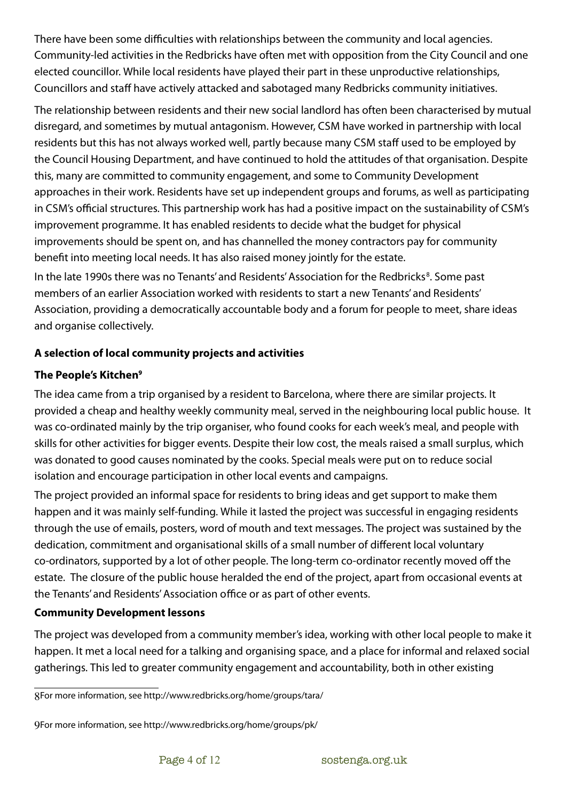There have been some difficulties with relationships between the community and local agencies. Community-led activities in the Redbricks have often met with opposition from the City Council and one elected councillor. While local residents have played their part in these unproductive relationships, Councillors and staff have actively attacked and sabotaged many Redbricks community initiatives.

The relationship between residents and their new social landlord has often been characterised by mutual disregard, and sometimes by mutual antagonism. However, CSM have worked in partnership with local residents but this has not always worked well, partly because many CSM staff used to be employed by the Council Housing Department, and have continued to hold the attitudes of that organisation. Despite this, many are committed to community engagement, and some to Community Development approaches in their work. Residents have set up independent groups and forums, as well as participating in CSM's official structures. This partnership work has had a positive impact on the sustainability of CSM's improvement programme. It has enabled residents to decide what the budget for physical improvements should be spent on, and has channelled the money contractors pay for community benefit into meeting local needs. It has also raised money jointly for the estate. In the late 1990s there was no Tenants' and Residents' Association for the Redbricks<sup>[8](#page-3-0)</sup>. Some past members of an earlier Association worked with residents to start a new Tenants' and Residents' Association, providing a democratically accountable body and a forum for people to meet, share ideas

**A selection of local community projects and activities**

## **The People's Kitchen[9](#page-3-1)**

and organise collectively.

The idea came from a trip organised by a resident to Barcelona, where there are similar projects. It provided a cheap and healthy weekly community meal, served in the neighbouring local public house. It was co-ordinated mainly by the trip organiser, who found cooks for each week's meal, and people with skills for other activities for bigger events. Despite their low cost, the meals raised a small surplus, which was donated to good causes nominated by the cooks. Special meals were put on to reduce social isolation and encourage participation in other local events and campaigns.

The project provided an informal space for residents to bring ideas and get support to make them happen and it was mainly self-funding. While it lasted the project was successful in engaging residents through the use of emails, posters, word of mouth and text messages. The project was sustained by the dedication, commitment and organisational skills of a small number of different local voluntary co-ordinators, supported by a lot of other people. The long-term co-ordinator recently moved off the estate. The closure of the public house heralded the end of the project, apart from occasional events at the Tenants' and Residents' Association office or as part of other events.

#### **Community Development lessons**

The project was developed from a community member's idea, working with other local people to make it happen. It met a local need for a talking and organising space, and a place for informal and relaxed social gatherings. This led to greater community engagement and accountability, both in other existing

<span id="page-3-0"></span><sup>8</sup>For more information, see http://www.redbricks.org/home/groups/tara/

<span id="page-3-1"></span><sup>9</sup>For more information, see http://www.redbricks.org/home/groups/pk/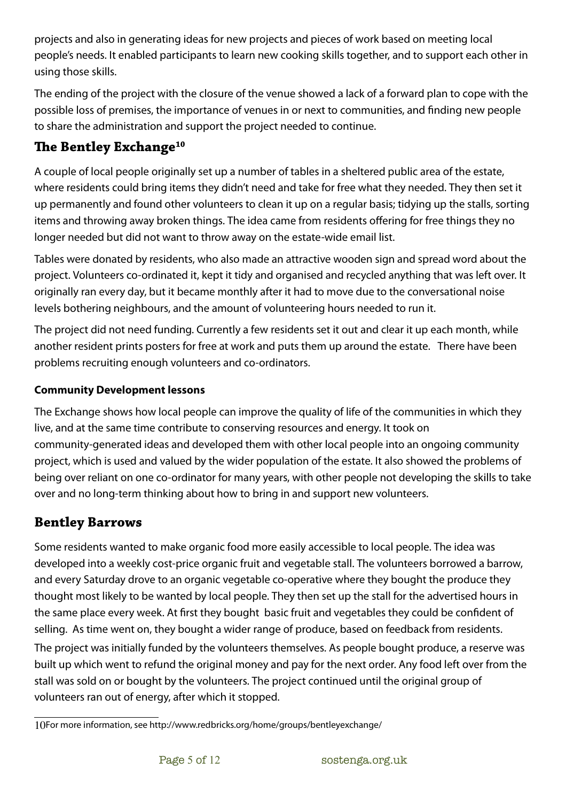projects and also in generating ideas for new projects and pieces of work based on meeting local people's needs. It enabled participants to learn new cooking skills together, and to support each other in using those skills.

The ending of the project with the closure of the venue showed a lack of a forward plan to cope with the possible loss of premises, the importance of venues in or next to communities, and finding new people to share the administration and support the project needed to continue.

# **The Bentley Exchange<sup>[10](#page-4-0)</sup>**

A couple of local people originally set up a number of tables in a sheltered public area of the estate, where residents could bring items they didn't need and take for free what they needed. They then set it up permanently and found other volunteers to clean it up on a regular basis; tidying up the stalls, sorting items and throwing away broken things. The idea came from residents offering for free things they no longer needed but did not want to throw away on the estate-wide email list.

Tables were donated by residents, who also made an attractive wooden sign and spread word about the project. Volunteers co-ordinated it, kept it tidy and organised and recycled anything that was left over. It originally ran every day, but it became monthly after it had to move due to the conversational noise levels bothering neighbours, and the amount of volunteering hours needed to run it.

The project did not need funding. Currently a few residents set it out and clear it up each month, while another resident prints posters for free at work and puts them up around the estate. There have been problems recruiting enough volunteers and co-ordinators.

## **Community Development lessons**

The Exchange shows how local people can improve the quality of life of the communities in which they live, and at the same time contribute to conserving resources and energy. It took on community-generated ideas and developed them with other local people into an ongoing community project, which is used and valued by the wider population of the estate. It also showed the problems of being over reliant on one co-ordinator for many years, with other people not developing the skills to take over and no long-term thinking about how to bring in and support new volunteers.

## **Bentley Barrows**

Some residents wanted to make organic food more easily accessible to local people. The idea was developed into a weekly cost-price organic fruit and vegetable stall. The volunteers borrowed a barrow, and every Saturday drove to an organic vegetable co-operative where they bought the produce they thought most likely to be wanted by local people. They then set up the stall for the advertised hours in the same place every week. At first they bought basic fruit and vegetables they could be confident of selling. As time went on, they bought a wider range of produce, based on feedback from residents.

The project was initially funded by the volunteers themselves. As people bought produce, a reserve was built up which went to refund the original money and pay for the next order. Any food left over from the stall was sold on or bought by the volunteers. The project continued until the original group of volunteers ran out of energy, after which it stopped.

<span id="page-4-0"></span><sup>10</sup>For more information, see http://www.redbricks.org/home/groups/bentleyexchange/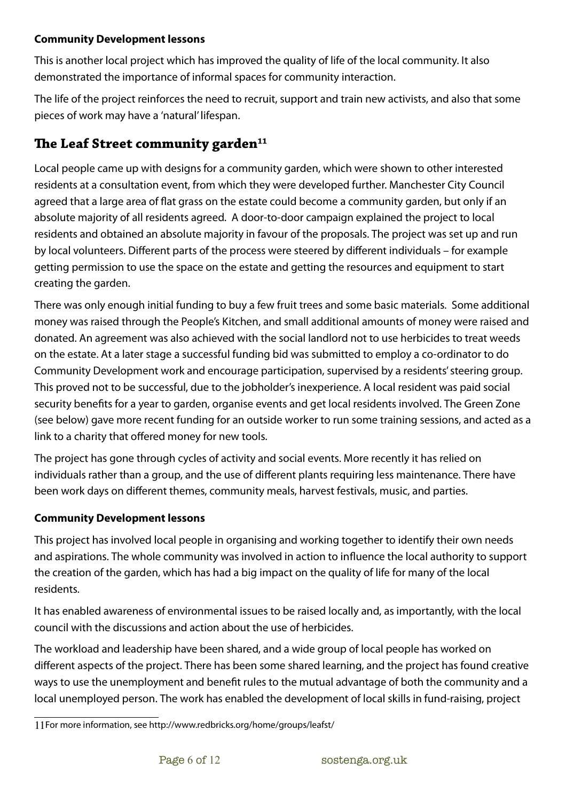#### **Community Development lessons**

This is another local project which has improved the quality of life of the local community. It also demonstrated the importance of informal spaces for community interaction.

The life of the project reinforces the need to recruit, support and train new activists, and also that some pieces of work may have a 'natural' lifespan.

## **e Leaf Street community garden[11](#page-5-0)**

Local people came up with designs for a community garden, which were shown to other interested residents at a consultation event, from which they were developed further. Manchester City Council agreed that a large area of flat grass on the estate could become a community garden, but only if an absolute majority of all residents agreed. A door-to-door campaign explained the project to local residents and obtained an absolute majority in favour of the proposals. The project was set up and run by local volunteers. Different parts of the process were steered by different individuals – for example getting permission to use the space on the estate and getting the resources and equipment to start creating the garden.

There was only enough initial funding to buy a few fruit trees and some basic materials. Some additional money was raised through the People's Kitchen, and small additional amounts of money were raised and donated. An agreement was also achieved with the social landlord not to use herbicides to treat weeds on the estate. At a later stage a successful funding bid was submitted to employ a co-ordinator to do Community Development work and encourage participation, supervised by a residents' steering group. This proved not to be successful, due to the jobholder's inexperience. A local resident was paid social security benefits for a year to garden, organise events and get local residents involved. The Green Zone (see below) gave more recent funding for an outside worker to run some training sessions, and acted as a link to a charity that offered money for new tools.

The project has gone through cycles of activity and social events. More recently it has relied on individuals rather than a group, and the use of different plants requiring less maintenance. There have been work days on different themes, community meals, harvest festivals, music, and parties.

#### **Community Development lessons**

This project has involved local people in organising and working together to identify their own needs and aspirations. The whole community was involved in action to influence the local authority to support the creation of the garden, which has had a big impact on the quality of life for many of the local residents.

It has enabled awareness of environmental issues to be raised locally and, as importantly, with the local council with the discussions and action about the use of herbicides.

The workload and leadership have been shared, and a wide group of local people has worked on different aspects of the project. There has been some shared learning, and the project has found creative ways to use the unemployment and benefit rules to the mutual advantage of both the community and a local unemployed person. The work has enabled the development of local skills in fund-raising, project

<span id="page-5-0"></span><sup>11</sup>For more information, see http://www.redbricks.org/home/groups/leafst/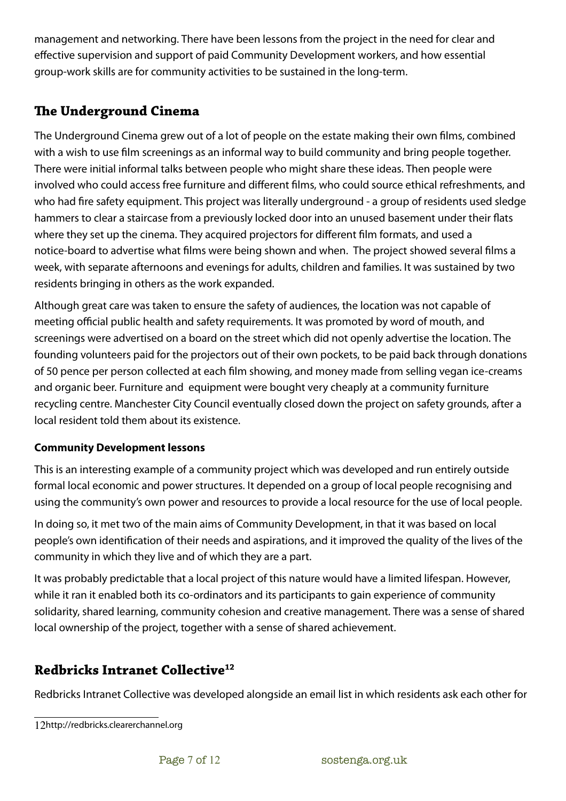management and networking. There have been lessons from the project in the need for clear and effective supervision and support of paid Community Development workers, and how essential group-work skills are for community activities to be sustained in the long-term.

## **e Underground Cinema**

The Underground Cinema grew out of a lot of people on the estate making their own films, combined with a wish to use film screenings as an informal way to build community and bring people together. There were initial informal talks between people who might share these ideas. Then people were involved who could access free furniture and different films, who could source ethical refreshments, and who had fire safety equipment. This project was literally underground - a group of residents used sledge hammers to clear a staircase from a previously locked door into an unused basement under their flats where they set up the cinema. They acquired projectors for different film formats, and used a notice-board to advertise what films were being shown and when. The project showed several films a week, with separate afternoons and evenings for adults, children and families. It was sustained by two residents bringing in others as the work expanded.

Although great care was taken to ensure the safety of audiences, the location was not capable of meeting official public health and safety requirements. It was promoted by word of mouth, and screenings were advertised on a board on the street which did not openly advertise the location. The founding volunteers paid for the projectors out of their own pockets, to be paid back through donations of 50 pence per person collected at each film showing, and money made from selling vegan ice-creams and organic beer. Furniture and equipment were bought very cheaply at a community furniture recycling centre. Manchester City Council eventually closed down the project on safety grounds, after a local resident told them about its existence.

#### **Community Development lessons**

This is an interesting example of a community project which was developed and run entirely outside formal local economic and power structures. It depended on a group of local people recognising and using the community's own power and resources to provide a local resource for the use of local people.

In doing so, it met two of the main aims of Community Development, in that it was based on local people's own identification of their needs and aspirations, and it improved the quality of the lives of the community in which they live and of which they are a part.

It was probably predictable that a local project of this nature would have a limited lifespan. However, while it ran it enabled both its co-ordinators and its participants to gain experience of community solidarity, shared learning, community cohesion and creative management. There was a sense of shared local ownership of the project, together with a sense of shared achievement.

## **Redbricks Intranet Collective[12](#page-6-0)**

Redbricks Intranet Collective was developed alongside an email list in which residents ask each other for

<span id="page-6-0"></span><sup>12</sup>http://redbricks.clearerchannel.org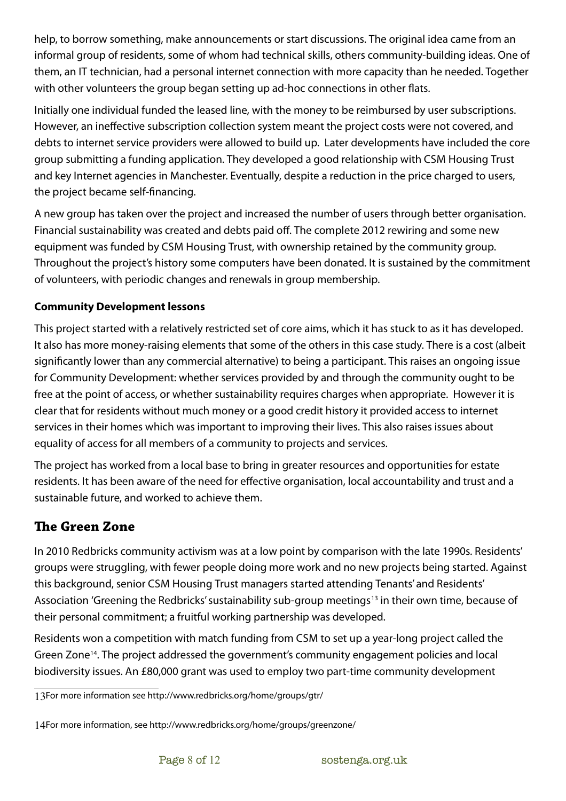help, to borrow something, make announcements or start discussions. The original idea came from an informal group of residents, some of whom had technical skills, others community-building ideas. One of them, an IT technician, had a personal internet connection with more capacity than he needed. Together with other volunteers the group began setting up ad-hoc connections in other flats.

Initially one individual funded the leased line, with the money to be reimbursed by user subscriptions. However, an ineffective subscription collection system meant the project costs were not covered, and debts to internet service providers were allowed to build up. Later developments have included the core group submitting a funding application. They developed a good relationship with CSM Housing Trust and key Internet agencies in Manchester. Eventually, despite a reduction in the price charged to users, the project became self-financing.

A new group has taken over the project and increased the number of users through better organisation. Financial sustainability was created and debts paid off. The complete 2012 rewiring and some new equipment was funded by CSM Housing Trust, with ownership retained by the community group. Throughout the project's history some computers have been donated. It is sustained by the commitment of volunteers, with periodic changes and renewals in group membership.

## **Community Development lessons**

This project started with a relatively restricted set of core aims, which it has stuck to as it has developed. It also has more money-raising elements that some of the others in this case study. There is a cost (albeit significantly lower than any commercial alternative) to being a participant. This raises an ongoing issue for Community Development: whether services provided by and through the community ought to be free at the point of access, or whether sustainability requires charges when appropriate. However it is clear that for residents without much money or a good credit history it provided access to internet services in their homes which was important to improving their lives. This also raises issues about equality of access for all members of a community to projects and services.

The project has worked from a local base to bring in greater resources and opportunities for estate residents. It has been aware of the need for effective organisation, local accountability and trust and a sustainable future, and worked to achieve them.

## **The Green Zone**

In 2010 Redbricks community activism was at a low point by comparison with the late 1990s. Residents' groups were struggling, with fewer people doing more work and no new projects being started. Against this background, senior CSM Housing Trust managers started attending Tenants' and Residents' Association 'Greening the Redbricks' sustainability sub-group meetings<sup>[13](#page-7-0)</sup> in their own time, because of their personal commitment; a fruitful working partnership was developed.

Residents won a competition with match funding from CSM to set up a year-long project called the Green Zone<sup>[14](#page-7-1)</sup>. The project addressed the government's community engagement policies and local biodiversity issues. An £80,000 grant was used to employ two part-time community development

<span id="page-7-0"></span><sup>13</sup>For more information see http://www.redbricks.org/home/groups/gtr/

<span id="page-7-1"></span><sup>14</sup>For more information, see http://www.redbricks.org/home/groups/greenzone/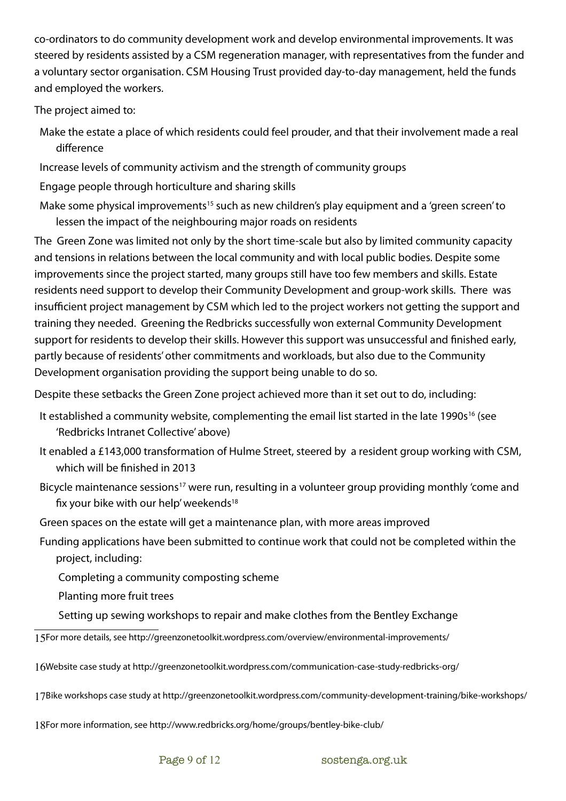co-ordinators to do community development work and develop environmental improvements. It was steered by residents assisted by a CSM regeneration manager, with representatives from the funder and a voluntary sector organisation. CSM Housing Trust provided day-to-day management, held the funds and employed the workers.

The project aimed to:

- Make the estate a place of which residents could feel prouder, and that their involvement made a real difference
- Increase levels of community activism and the strength of community groups
- Engage people through horticulture and sharing skills
- Make some physical improvements<sup>[15](#page-8-0)</sup> such as new children's play equipment and a 'green screen' to lessen the impact of the neighbouring major roads on residents

The Green Zone was limited not only by the short time-scale but also by limited community capacity and tensions in relations between the local community and with local public bodies. Despite some improvements since the project started, many groups still have too few members and skills. Estate residents need support to develop their Community Development and group-work skills. There was insufficient project management by CSM which led to the project workers not getting the support and training they needed. Greening the Redbricks successfully won external Community Development support for residents to develop their skills. However this support was unsuccessful and finished early, partly because of residents' other commitments and workloads, but also due to the Community Development organisation providing the support being unable to do so.

Despite these setbacks the Green Zone project achieved more than it set out to do, including:

- It established a community website, complementing the email list started in the late 1990s<sup>[16](#page-8-1)</sup> (see 'Redbricks Intranet Collective' above)
- It enabled a £143,000 transformation of Hulme Street, steered by a resident group working with CSM, which will be finished in 2013
- Bicycle maintenance sessions<sup>[17](#page-8-2)</sup> were run, resulting in a volunteer group providing monthly 'come and fix your bike with our help' weekends<sup>[18](#page-8-3)</sup>
- Green spaces on the estate will get a maintenance plan, with more areas improved
- Funding applications have been submitted to continue work that could not be completed within the project, including:

Completing a community composting scheme

Planting more fruit trees

Setting up sewing workshops to repair and make clothes from the Bentley Exchange

<span id="page-8-0"></span>15For more details, see http://greenzonetoolkit.wordpress.com/overview/environmental-improvements/

<span id="page-8-1"></span>16Website case study at http://greenzonetoolkit.wordpress.com/communication-case-study-redbricks-org/

<span id="page-8-2"></span>17Bike workshops case study at http://greenzonetoolkit.wordpress.com/community-development-training/bike-workshops/

<span id="page-8-3"></span>18For more information, see http://www.redbricks.org/home/groups/bentley-bike-club/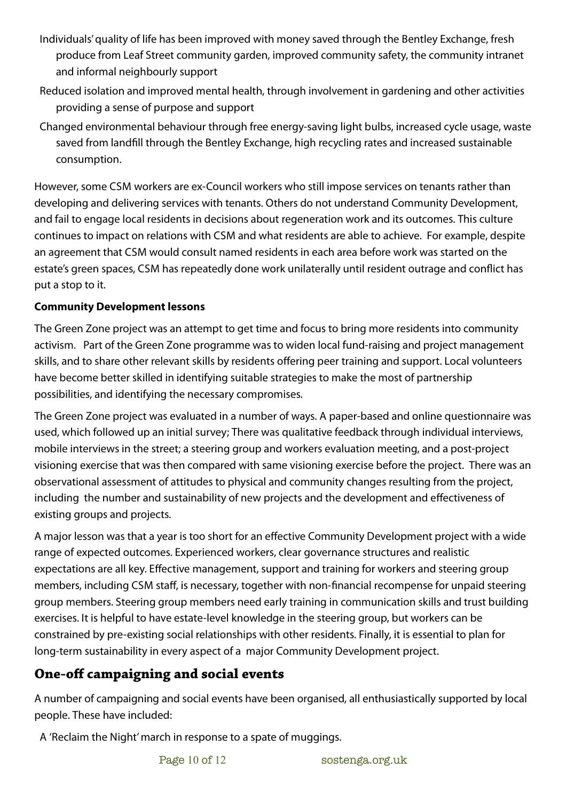- Individuals' quality of life has been improved with money saved through the Bentley Exchange, fresh produce from Leaf Street community garden, improved community safety, the community intranet and informal neighbourly support
- Reduced isolation and improved mental health, through involvement in gardening and other activities providing a sense of purpose and support
- Changed environmental behaviour through free energy-saving light bulbs, increased cycle usage, waste saved from landfill through the Bentley Exchange, high recycling rates and increased sustainable consumption.

However, some CSM workers are ex-Council workers who still impose services on tenants rather than developing and delivering services with tenants. Others do not understand Community Development, and fail to engage local residents in decisions about regeneration work and its outcomes. This culture continues to impact on relations with CSM and what residents are able to achieve. For example, despite an agreement that CSM would consult named residents in each area before work was started on the estate's green spaces, CSM has repeatedly done work unilaterally until resident outrage and conflict has put a stop to it.

### **Community Development lessons**

The Green Zone project was an attempt to get time and focus to bring more residents into community activism. Part of the Green Zone programme was to widen local fund-raising and project management skills, and to share other relevant skills by residents offering peer training and support. Local volunteers have become better skilled in identifying suitable strategies to make the most of partnership possibilities, and identifying the necessary compromises.

The Green Zone project was evaluated in a number of ways. A paper-based and online questionnaire was used, which followed up an initial survey; There was qualitative feedback through individual interviews, mobile interviews in the street; a steering group and workers evaluation meeting, and a post-project visioning exercise that was then compared with same visioning exercise before the project. There was an observational assessment of attitudes to physical and community changes resulting from the project, including the number and sustainability of new projects and the development and effectiveness of existing groups and projects.

A major lesson was that a year is too short for an effective Community Development project with a wide range of expected outcomes. Experienced workers, clear governance structures and realistic expectations are all key. Effective management, support and training for workers and steering group members, including CSM staff, is necessary, together with non-financial recompense for unpaid steering group members. Steering group members need early training in communication skills and trust building exercises. It is helpful to have estate-level knowledge in the steering group, but workers can be constrained by pre-existing social relationships with other residents. Finally, it is essential to plan for long-term sustainability in every aspect of a major Community Development project.

## **One-off campaigning and social events**

A number of campaigning and social events have been organised, all enthusiastically supported by local people. These have included:

A 'Reclaim the Night' march in response to a spate of muggings.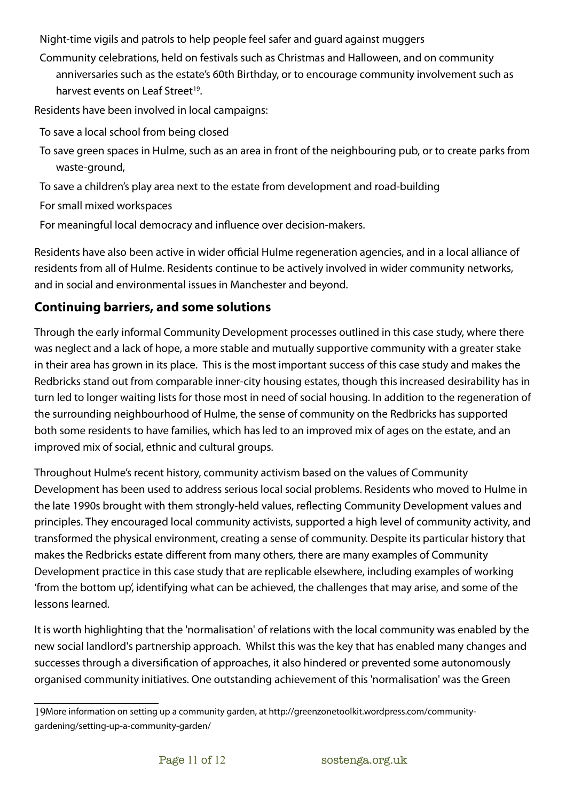Night-time vigils and patrols to help people feel safer and guard against muggers

Community celebrations, held on festivals such as Christmas and Halloween, and on community anniversaries such as the estate's 60th Birthday, or to encourage community involvement such as harvest events on Leaf Street<sup>[19](#page-10-0)</sup>.

Residents have been involved in local campaigns:

- To save a local school from being closed
- To save green spaces in Hulme, such as an area in front of the neighbouring pub, or to create parks from waste-ground,
- To save a children's play area next to the estate from development and road-building

For small mixed workspaces

For meaningful local democracy and influence over decision-makers.

Residents have also been active in wider official Hulme regeneration agencies, and in a local alliance of residents from all of Hulme. Residents continue to be actively involved in wider community networks, and in social and environmental issues in Manchester and beyond.

## **Continuing barriers, and some solutions**

Through the early informal Community Development processes outlined in this case study, where there was neglect and a lack of hope, a more stable and mutually supportive community with a greater stake in their area has grown in its place. This is the most important success of this case study and makes the Redbricks stand out from comparable inner-city housing estates, though this increased desirability has in turn led to longer waiting lists for those most in need of social housing. In addition to the regeneration of the surrounding neighbourhood of Hulme, the sense of community on the Redbricks has supported both some residents to have families, which has led to an improved mix of ages on the estate, and an improved mix of social, ethnic and cultural groups.

Throughout Hulme's recent history, community activism based on the values of Community Development has been used to address serious local social problems. Residents who moved to Hulme in the late 1990s brought with them strongly-held values, reflecting Community Development values and principles. They encouraged local community activists, supported a high level of community activity, and transformed the physical environment, creating a sense of community. Despite its particular history that makes the Redbricks estate different from many others, there are many examples of Community Development practice in this case study that are replicable elsewhere, including examples of working 'from the bottom up', identifying what can be achieved, the challenges that may arise, and some of the lessons learned.

It is worth highlighting that the 'normalisation' of relations with the local community was enabled by the new social landlord's partnership approach. Whilst this was the key that has enabled many changes and successes through a diversification of approaches, it also hindered or prevented some autonomously organised community initiatives. One outstanding achievement of this 'normalisation' was the Green

<span id="page-10-0"></span><sup>19</sup>More information on setting up a community garden, at http://greenzonetoolkit.wordpress.com/communitygardening/setting-up-a-community-garden/